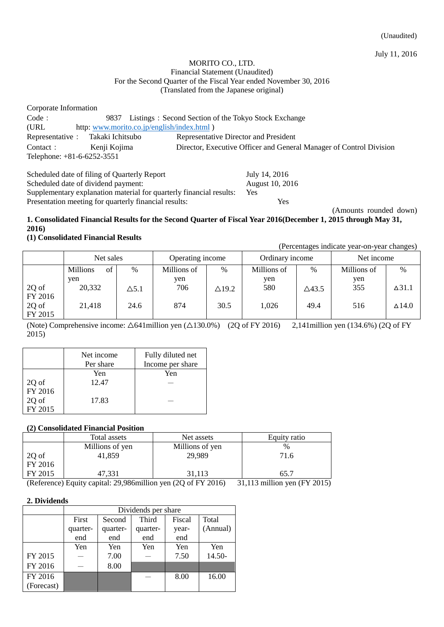July 11, 2016

#### MORITO CO., LTD. Financial Statement (Unaudited) For the Second Quarter of the Fiscal Year ended November 30, 2016 (Translated from the Japanese original)

Corporate Information Code: 9837 Listings: Second Section of the Tokyo Stock Exchange (URL http: [www.morito.co.jp/english/index.html](http://www.morito.co.jp/english/index.html) ) Representative: Takaki Ichitsubo Representative Director and President Contact: Kenji Kojima Director, Executive Officer and General Manager of Control Division Telephone: +81-6-6252-3551

Scheduled date of filing of Quarterly Report July 14, 2016 Scheduled date of dividend payment: August 10, 2016 Supplementary explanation material for quarterly financial results: Yes Presentation meeting for quarterly financial results: Yes

(Amounts rounded down)

### **1. Consolidated Financial Results for the Second Quarter of Fiscal Year 2016(December 1, 2015 through May 31, 2016)**

## **(1) Consolidated Financial Results**

(Percentages indicate year-on-year changes)

|         | Net sales             |              | Operating income |               | Ordinary income |                  | Net income  |               |
|---------|-----------------------|--------------|------------------|---------------|-----------------|------------------|-------------|---------------|
|         | <b>Millions</b><br>of | $\%$         | Millions of      | $\%$          | Millions of     | $\%$             | Millions of | $\%$          |
|         | ven                   |              | yen              |               | yen             |                  | yen         |               |
| 2Q of   | 20,332                | $\Delta$ 5.1 | 706              | $\Delta$ 19.2 | 580             | $\triangle$ 43.5 | 355         | $\Delta$ 31.1 |
| FY 2016 |                       |              |                  |               |                 |                  |             |               |
| 2Q of   | 21,418                | 24.6         | 874              | 30.5          | 1,026           | 49.4             | 516         | $\Delta$ 14.0 |
| FY 2015 |                       |              |                  |               |                 |                  |             |               |

(Note) Comprehensive income:  $\triangle 641$ million yen ( $\triangle 130.0\%$ ) (2Q of FY 2016) 2,141 million yen (134.6%) (2Q of FY 2015)

|         | Net income | Fully diluted net |
|---------|------------|-------------------|
|         | Per share  | Income per share  |
|         | Yen        | Yen               |
| 2Q of   | 12.47      |                   |
| FY 2016 |            |                   |
| 2Q of   | 17.83      |                   |
| FY 2015 |            |                   |

## **(2) Consolidated Financial Position**

|                                     | Total assets    | Net assets      | Equity ratio |
|-------------------------------------|-----------------|-----------------|--------------|
|                                     | Millions of yen | Millions of yen | $\%$         |
| $\left  \frac{2Q}{FY} \right $ 2016 | 41.859          | 29,989          | 71.6         |
|                                     |                 |                 |              |
| FY 2015                             | 47,331          | 31,113          | 65.7         |

(Reference) Equity capital: 29,986million yen (2Q of FY 2016) 31,113 million yen (FY 2015)

### **2. Dividends**

|            | Dividends per share |          |          |        |          |  |
|------------|---------------------|----------|----------|--------|----------|--|
|            | First               | Second   | Third    | Fiscal | Total    |  |
|            | quarter-            | quarter- | quarter- | year-  | (Annual) |  |
|            | end                 | end      | end      | end    |          |  |
|            | Yen                 | Yen      | Yen      | Yen    | Yen      |  |
| FY 2015    |                     | 7.00     |          | 7.50   | 14.50-   |  |
| FY 2016    |                     | 8.00     |          |        |          |  |
| FY 2016    |                     |          |          | 8.00   | 16.00    |  |
| (Forecast) |                     |          |          |        |          |  |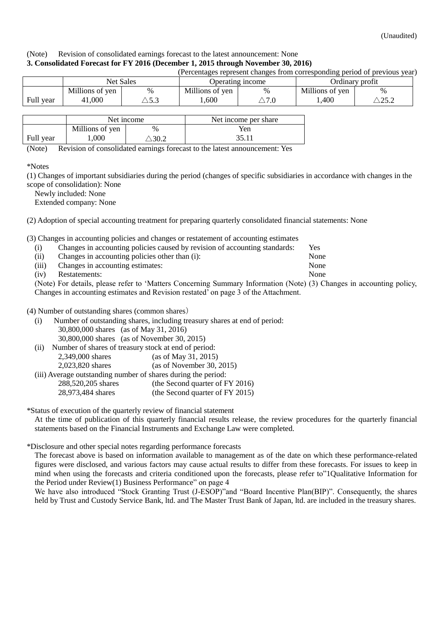#### (Note) Revision of consolidated earnings forecast to the latest announcement: None **3. Consolidated Forecast for FY 2016 (December 1, 2015 through November 30, 2016)**

|           |                 |                 |                  |                 |                 | (Percentages represent changes from corresponding period of previous year) |
|-----------|-----------------|-----------------|------------------|-----------------|-----------------|----------------------------------------------------------------------------|
|           | Net Sales       |                 | Operating income |                 | Ordinary profit |                                                                            |
|           | Millions of yen | $\%$            | Millions of yen  | $\%$            | Millions of yen | $\%$                                                                       |
| Full year | 41,000          | $\setminus$ 5.3 | .600             | $\triangle 7.0$ | .400            | $\mathop{\triangle}25.2$                                                   |
|           |                 |                 |                  |                 |                 |                                                                            |

|           |                 | Net income | Net income per share |
|-----------|-----------------|------------|----------------------|
|           | Millions of yen | $\%$       | Yen                  |
| Full year | ,000            | 30.2       |                      |

(Note) Revision of consolidated earnings forecast to the latest announcement: Yes

\*Notes

(1) Changes of important subsidiaries during the period (changes of specific subsidiaries in accordance with changes in the scope of consolidation): None

Newly included: None

Extended company: None

(2) Adoption of special accounting treatment for preparing quarterly consolidated financial statements: None

(3) Changes in accounting policies and changes or restatement of accounting estimates

| (i)   |                                                | Changes in accounting policies caused by revision of accounting standards: | Yes  |
|-------|------------------------------------------------|----------------------------------------------------------------------------|------|
| (ii)  | Changes in accounting policies other than (i): |                                                                            | None |
| (iii) | Changes in accounting estimates:               |                                                                            | None |
| (iv)  | Restatements:                                  |                                                                            | None |

(Note) For details, please refer to 'Matters Concerning Summary Information (Note) (3) Changes in accounting policy, Changes in accounting estimates and Revision restated' on page 3 of the Attachment.

(4) Number of outstanding shares (common shares)

- (i) Number of outstanding shares, including treasury shares at end of period: 30,800,000 shares (as of May 31, 2016) 30,800,000 shares (as of November 30, 2015)
- (ii) Number of shares of treasury stock at end of period: 2,349,000 shares (as of May 31, 2015) 2,023,820 shares (as of November 30, 2015)
- (iii) Average outstanding number of shares during the period: 288,520,205 shares (the Second quarter of FY 2016)
	- 28,973,484 shares (the Second quarter of FY 2015)

\*Status of execution of the quarterly review of financial statement

At the time of publication of this quarterly financial results release, the review procedures for the quarterly financial statements based on the Financial Instruments and Exchange Law were completed.

\*Disclosure and other special notes regarding performance forecasts

The forecast above is based on information available to management as of the date on which these performance-related figures were disclosed, and various factors may cause actual results to differ from these forecasts. For issues to keep in mind when using the forecasts and criteria conditioned upon the forecasts, please refer to["1Qualitative Information for](#page-3-0)  [the Period under Review\(1\) Business Performance"](#page-3-0) on page 4

We have also introduced "Stock Granting Trust (J-ESOP)"and "Board Incentive Plan(BIP)". Consequently, the shares held by Trust and Custody Service Bank, ltd. and The Master Trust Bank of Japan, ltd. are included in the treasury shares.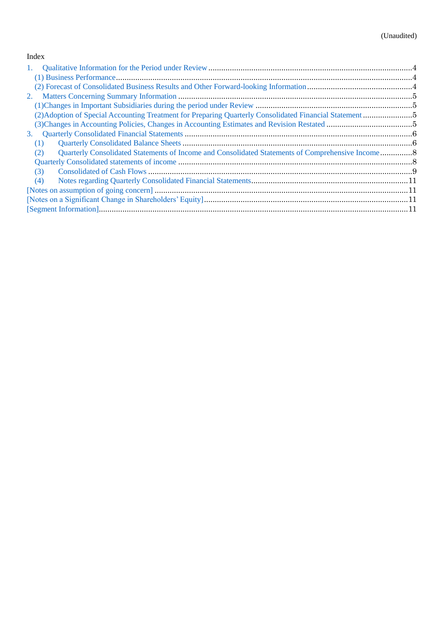## Index

| $\mathbf{1}$ . |  |
|----------------|--|
|                |  |
|                |  |
| 2.             |  |
|                |  |
|                |  |
|                |  |
| 3.             |  |
| (1)            |  |
| (2)            |  |
|                |  |
| (3)            |  |
| (4)            |  |
|                |  |
|                |  |
|                |  |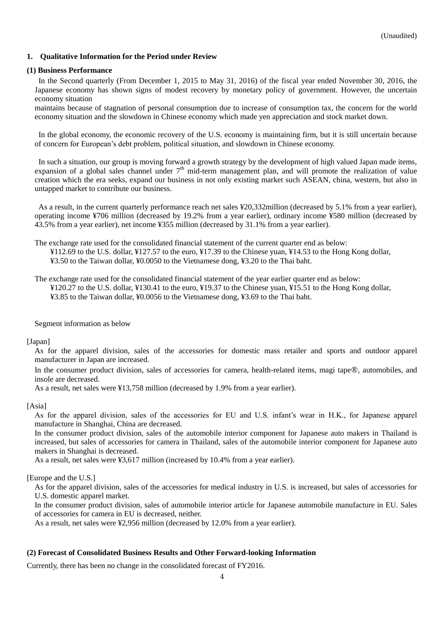## <span id="page-3-0"></span>**1. Qualitative Information for the Period under Review**

#### <span id="page-3-1"></span>**(1) Business Performance**

In the Second quarterly (From December 1, 2015 to May 31, 2016) of the fiscal year ended November 30, 2016, the Japanese economy has shown signs of modest recovery by monetary policy of government. However, the uncertain economy situation

maintains because of stagnation of personal consumption due to increase of consumption tax, the concern for the world economy situation and the slowdown in Chinese economy which made yen appreciation and stock market down.

In the global economy, the economic recovery of the U.S. economy is maintaining firm, but it is still uncertain because of concern for European's debt problem, political situation, and slowdown in Chinese economy.

In such a situation, our group is moving forward a growth strategy by the development of high valued Japan made items, expansion of a global sales channel under  $7<sup>th</sup>$  mid-term management plan, and will promote the realization of value creation which the era seeks, expand our business in not only existing market such ASEAN, china, western, but also in untapped market to contribute our business.

As a result, in the current quarterly performance reach net sales ¥20,332million (decreased by 5.1% from a year earlier), operating income ¥706 million (decreased by 19.2% from a year earlier), ordinary income ¥580 million (decreased by 43.5% from a year earlier), net income ¥355 million (decreased by 31.1% from a year earlier).

The exchange rate used for the consolidated financial statement of the current quarter end as below:

¥112.69 to the U.S. dollar, ¥127.57 to the euro, ¥17.39 to the Chinese yuan, ¥14.53 to the Hong Kong dollar, ¥3.50 to the Taiwan dollar, ¥0.0050 to the Vietnamese dong, ¥3.20 to the Thai baht.

The exchange rate used for the consolidated financial statement of the year earlier quarter end as below: ¥120.27 to the U.S. dollar, ¥130.41 to the euro, ¥19.37 to the Chinese yuan, ¥15.51 to the Hong Kong dollar, ¥3.85 to the Taiwan dollar, ¥0.0056 to the Vietnamese dong, ¥3.69 to the Thai baht.

Segment information as below

[Japan]

As for the apparel division, sales of the accessories for domestic mass retailer and sports and outdoor apparel manufacturer in Japan are increased.

In the consumer product division, sales of accessories for camera, health-related items, magi tape®, automobiles, and insole are decreased.

As a result, net sales were ¥13,758 million (decreased by 1.9% from a year earlier).

### [Asia]

As for the apparel division, sales of the accessories for EU and U.S. infant's wear in H.K., for Japanese apparel manufacture in Shanghai, China are decreased.

In the consumer product division, sales of the automobile interior component for Japanese auto makers in Thailand is increased, but sales of accessories for camera in Thailand, sales of the automobile interior component for Japanese auto makers in Shanghai is decreased.

As a result, net sales were ¥3,617 million (increased by 10.4% from a year earlier).

[Europe and the U.S.]

As for the apparel division, sales of the accessories for medical industry in U.S. is increased, but sales of accessories for U.S. domestic apparel market.

In the consumer product division, sales of automobile interior article for Japanese automobile manufacture in EU. Sales of accessories for camera in EU is decreased, neither.

As a result, net sales were ¥2,956 million (decreased by 12.0% from a year earlier).

### <span id="page-3-2"></span>**(2) Forecast of Consolidated Business Results and Other Forward-looking Information**

Currently, there has been no change in the consolidated forecast of FY2016.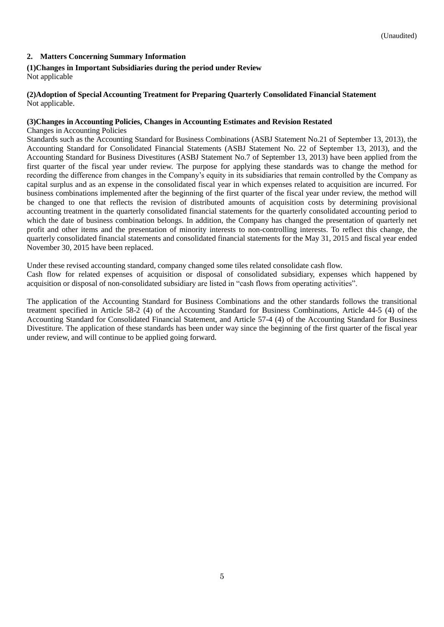## <span id="page-4-0"></span>**2. Matters Concerning Summary Information**

### <span id="page-4-1"></span>**(1)Changes in Important Subsidiaries during the period under Review**

Not applicable

#### <span id="page-4-2"></span>**(2)Adoption of Special Accounting Treatment for Preparing Quarterly Consolidated Financial Statement** Not applicable.

#### <span id="page-4-3"></span>**(3)Changes in Accounting Policies, Changes in Accounting Estimates and Revision Restated**

Changes in Accounting Policies

Standards such as the Accounting Standard for Business Combinations (ASBJ Statement No.21 of September 13, 2013), the Accounting Standard for Consolidated Financial Statements (ASBJ Statement No. 22 of September 13, 2013), and the Accounting Standard for Business Divestitures (ASBJ Statement No.7 of September 13, 2013) have been applied from the first quarter of the fiscal year under review. The purpose for applying these standards was to change the method for recording the difference from changes in the Company's equity in its subsidiaries that remain controlled by the Company as capital surplus and as an expense in the consolidated fiscal year in which expenses related to acquisition are incurred. For business combinations implemented after the beginning of the first quarter of the fiscal year under review, the method will be changed to one that reflects the revision of distributed amounts of acquisition costs by determining provisional accounting treatment in the quarterly consolidated financial statements for the quarterly consolidated accounting period to which the date of business combination belongs. In addition, the Company has changed the presentation of quarterly net profit and other items and the presentation of minority interests to non-controlling interests. To reflect this change, the quarterly consolidated financial statements and consolidated financial statements for the May 31, 2015 and fiscal year ended November 30, 2015 have been replaced.

Under these revised accounting standard, company changed some tiles related consolidate cash flow.

Cash flow for related expenses of acquisition or disposal of consolidated subsidiary, expenses which happened by acquisition or disposal of non-consolidated subsidiary are listed in "cash flows from operating activities".

The application of the Accounting Standard for Business Combinations and the other standards follows the transitional treatment specified in Article 58-2 (4) of the Accounting Standard for Business Combinations, Article 44-5 (4) of the Accounting Standard for Consolidated Financial Statement, and Article 57-4 (4) of the Accounting Standard for Business Divestiture. The application of these standards has been under way since the beginning of the first quarter of the fiscal year under review, and will continue to be applied going forward.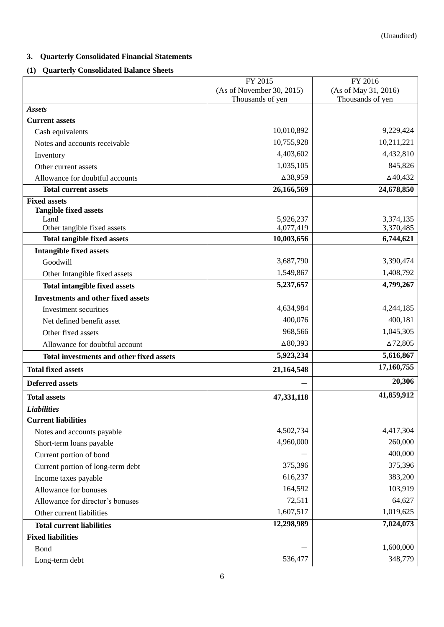## <span id="page-5-0"></span>**3. Quarterly Consolidated Financial Statements**

## <span id="page-5-1"></span>**(1) Quarterly Consolidated Balance Sheets**

|                                                 | FY 2015                   | FY 2016              |
|-------------------------------------------------|---------------------------|----------------------|
|                                                 | (As of November 30, 2015) | (As of May 31, 2016) |
|                                                 | Thousands of yen          | Thousands of yen     |
| <b>Assets</b>                                   |                           |                      |
| <b>Current assets</b>                           |                           |                      |
| Cash equivalents                                | 10,010,892                | 9,229,424            |
| Notes and accounts receivable                   | 10,755,928                | 10,211,221           |
| Inventory                                       | 4,403,602                 | 4,432,810            |
| Other current assets                            | 1,035,105                 | 845,826              |
| Allowance for doubtful accounts                 | △38,959                   | $\Delta$ 40,432      |
| <b>Total current assets</b>                     | 26,166,569                | 24,678,850           |
| <b>Fixed assets</b>                             |                           |                      |
| <b>Tangible fixed assets</b><br>Land            | 5,926,237                 | 3,374,135            |
| Other tangible fixed assets                     | 4,077,419                 | 3,370,485            |
| <b>Total tangible fixed assets</b>              | 10,003,656                | 6,744,621            |
| <b>Intangible fixed assets</b>                  |                           |                      |
| Goodwill                                        | 3,687,790                 | 3,390,474            |
| Other Intangible fixed assets                   | 1,549,867                 | 1,408,792            |
| <b>Total intangible fixed assets</b>            | 5,237,657                 | 4,799,267            |
| <b>Investments and other fixed assets</b>       |                           |                      |
| Investment securities                           | 4,634,984                 | 4,244,185            |
| Net defined benefit asset                       | 400,076                   | 400,181              |
| Other fixed assets                              | 968,566                   | 1,045,305            |
| Allowance for doubtful account                  | $\Delta 80,393$           | $\Delta$ 72,805      |
|                                                 | 5,923,234                 | 5,616,867            |
| <b>Total investments and other fixed assets</b> |                           | 17,160,755           |
| <b>Total fixed assets</b>                       | 21,164,548                |                      |
| <b>Deferred assets</b>                          |                           | 20,306               |
| <b>Total assets</b>                             | 47,331,118                | 41,859,912           |
| <b>Liabilities</b>                              |                           |                      |
| <b>Current liabilities</b>                      |                           |                      |
| Notes and accounts payable                      | 4,502,734                 | 4,417,304            |
| Short-term loans payable                        | 4,960,000                 | 260,000              |
| Current portion of bond                         |                           | 400,000              |
| Current portion of long-term debt               | 375,396                   | 375,396              |
| Income taxes payable                            | 616,237                   | 383,200              |
| Allowance for bonuses                           | 164,592                   | 103,919              |
| Allowance for director's bonuses                | 72,511                    | 64,627               |
| Other current liabilities                       | 1,607,517                 | 1,019,625            |
| <b>Total current liabilities</b>                | 12,298,989                | 7,024,073            |
| <b>Fixed liabilities</b>                        |                           |                      |
| Bond                                            |                           | 1,600,000            |
| Long-term debt                                  | 536,477                   | 348,779              |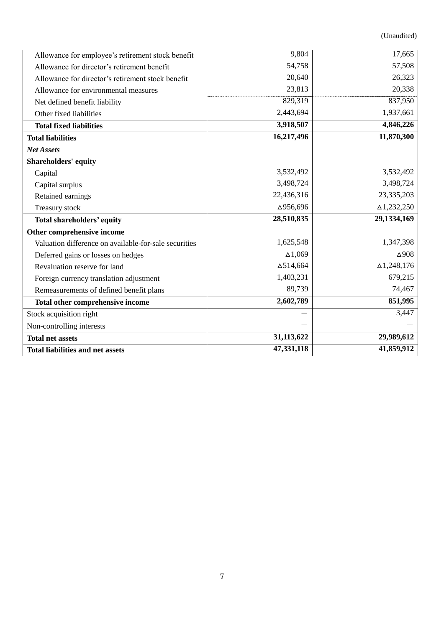(Unaudited)

| Allowance for employee's retirement stock benefit     | 9,804            | 17,665             |
|-------------------------------------------------------|------------------|--------------------|
| Allowance for director's retirement benefit           | 54,758           | 57,508             |
| Allowance for director's retirement stock benefit     | 20,640           | 26,323             |
| Allowance for environmental measures                  | 23,813           | 20,338             |
| Net defined benefit liability                         | 829,319          | 837,950            |
| Other fixed liabilities                               | 2,443,694        | 1,937,661          |
| <b>Total fixed liabilities</b>                        | 3,918,507        | 4,846,226          |
| <b>Total liabilities</b>                              | 16,217,496       | 11,870,300         |
| <b>Net Assets</b>                                     |                  |                    |
| <b>Shareholders' equity</b>                           |                  |                    |
| Capital                                               | 3,532,492        | 3,532,492          |
| Capital surplus                                       | 3,498,724        | 3,498,724          |
| Retained earnings                                     | 22,436,316       | 23,335,203         |
| Treasury stock                                        | △956,696         | $\Delta$ 1,232,250 |
| <b>Total shareholders' equity</b>                     | 28,510,835       | 29,1334,169        |
| Other comprehensive income                            |                  |                    |
| Valuation difference on available-for-sale securities | 1,625,548        | 1,347,398          |
| Deferred gains or losses on hedges                    | $\Delta 1,069$   | $\Delta$ 908       |
| Revaluation reserve for land                          | $\Delta$ 514,664 | $\Delta$ 1,248,176 |
| Foreign currency translation adjustment               | 1,403,231        | 679,215            |
| Remeasurements of defined benefit plans               | 89,739           | 74,467             |
| Total other comprehensive income                      | 2,602,789        | 851,995            |
| Stock acquisition right                               |                  | 3,447              |
| Non-controlling interests                             |                  |                    |
| <b>Total net assets</b>                               | 31,113,622       | 29,989,612         |
| <b>Total liabilities and net assets</b>               | 47,331,118       | 41,859,912         |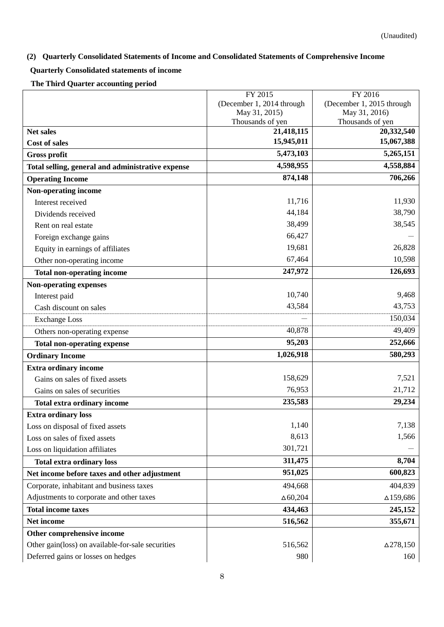# <span id="page-7-0"></span>**(2) Quarterly Consolidated Statements of Income and Consolidated Statements of Comprehensive Income**

## <span id="page-7-1"></span>**Quarterly Consolidated statements of income**

**The Third Quarter accounting period**

|                                                   | FY 2015                                    | FY 2016                           |
|---------------------------------------------------|--------------------------------------------|-----------------------------------|
|                                                   | (December 1, 2014 through<br>May 31, 2015) | (December 1, 2015 through         |
|                                                   | Thousands of yen                           | May 31, 2016)<br>Thousands of yen |
| <b>Net sales</b>                                  | 21,418,115                                 | 20,332,540                        |
| <b>Cost of sales</b>                              | 15,945,011                                 | 15,067,388                        |
| <b>Gross profit</b>                               | 5,473,103                                  | $\overline{5,265,151}$            |
| Total selling, general and administrative expense | 4,598,955                                  | 4,558,884                         |
| <b>Operating Income</b>                           | 874,148                                    | 706,266                           |
| Non-operating income                              |                                            |                                   |
| Interest received                                 | 11,716                                     | 11,930                            |
| Dividends received                                | 44,184                                     | 38,790                            |
| Rent on real estate                               | 38,499                                     | 38,545                            |
| Foreign exchange gains                            | 66,427                                     |                                   |
| Equity in earnings of affiliates                  | 19,681                                     | 26,828                            |
| Other non-operating income                        | 67,464                                     | 10,598                            |
| <b>Total non-operating income</b>                 | 247,972                                    | 126,693                           |
| <b>Non-operating expenses</b>                     |                                            |                                   |
| Interest paid                                     | 10,740                                     | 9,468                             |
| Cash discount on sales                            | 43,584                                     | 43,753                            |
| <b>Exchange Loss</b>                              |                                            | 150,034                           |
| Others non-operating expense                      | 40,878                                     | 49,409                            |
| <b>Total non-operating expense</b>                | 95,203                                     | 252,666                           |
| <b>Ordinary Income</b>                            | 1,026,918                                  | 580,293                           |
| <b>Extra ordinary income</b>                      |                                            |                                   |
| Gains on sales of fixed assets                    | 158,629                                    | 7,521                             |
| Gains on sales of securities                      | 76,953                                     | 21,712                            |
| Total extra ordinary income                       | 235,583                                    | 29,234                            |
| <b>Extra ordinary loss</b>                        |                                            |                                   |
| Loss on disposal of fixed assets                  | 1,140                                      | 7,138                             |
| Loss on sales of fixed assets                     | 8,613                                      | 1,566                             |
| Loss on liquidation affiliates                    | 301,721                                    |                                   |
| <b>Total extra ordinary loss</b>                  | 311,475                                    | 8,704                             |
| Net income before taxes and other adjustment      | 951,025                                    | 600,823                           |
| Corporate, inhabitant and business taxes          | 494,668                                    | 404,839                           |
| Adjustments to corporate and other taxes          | $\Delta 60,204$                            | ∆159,686                          |
| <b>Total income taxes</b>                         | 434,463                                    | 245,152                           |
| Net income                                        | 516,562                                    | 355,671                           |
| Other comprehensive income                        |                                            |                                   |
| Other gain(loss) on available-for-sale securities | 516,562                                    | $\Delta$ 278,150                  |
| Deferred gains or losses on hedges                | 980                                        | 160                               |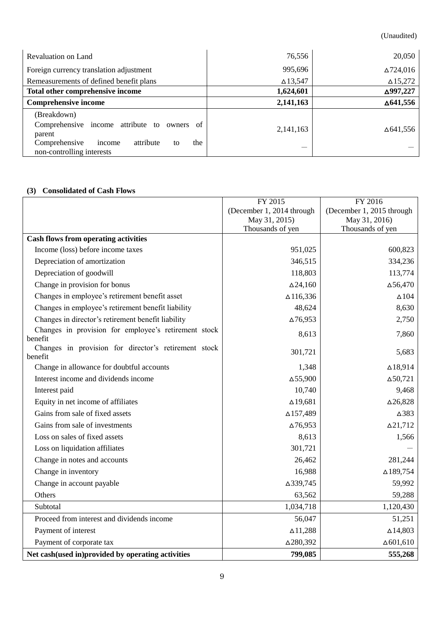(Unaudited)

| Revaluation on Land                                                            | 76,556          | 20,050             |
|--------------------------------------------------------------------------------|-----------------|--------------------|
| Foreign currency translation adjustment                                        | 995,696         | $\Delta$ 724,016   |
| Remeasurements of defined benefit plans                                        | $\Delta$ 13,547 | $\triangle 15,272$ |
| Total other comprehensive income                                               | 1,624,601       | △997,227           |
| <b>Comprehensive income</b>                                                    | 2,141,163       | $\Delta$ 641,556   |
| (Breakdown)                                                                    |                 |                    |
| Comprehensive income attribute to<br>owners of<br>parent                       | 2, 141, 163     | ∆641,556           |
| Comprehensive<br>the<br>attribute<br>income<br>to<br>non-controlling interests |                 |                    |

## <span id="page-8-0"></span>**(3) Consolidated of Cash Flows**

|                                                                 | FY 2015<br>FY 2016                                     |                  |  |
|-----------------------------------------------------------------|--------------------------------------------------------|------------------|--|
|                                                                 | (December 1, 2014 through<br>(December 1, 2015 through |                  |  |
|                                                                 | May 31, 2016)<br>May 31, 2015)                         |                  |  |
|                                                                 | Thousands of yen                                       | Thousands of yen |  |
| <b>Cash flows from operating activities</b>                     |                                                        |                  |  |
| Income (loss) before income taxes                               | 951,025                                                | 600,823          |  |
| Depreciation of amortization                                    | 346,515                                                | 334,236          |  |
| Depreciation of goodwill                                        | 118,803                                                | 113,774          |  |
| Change in provision for bonus                                   | $\Delta$ 24,160                                        | $\Delta$ 56,470  |  |
| Changes in employee's retirement benefit asset                  | $\Delta$ 116,336                                       | $\Delta104$      |  |
| Changes in employee's retirement benefit liability              | 48,624                                                 | 8,630            |  |
| Changes in director's retirement benefit liability              | $\Delta$ 76,953                                        | 2,750            |  |
| Changes in provision for employee's retirement stock<br>benefit | 8,613                                                  | 7,860            |  |
| Changes in provision for director's retirement stock<br>benefit | 301,721                                                | 5,683            |  |
| Change in allowance for doubtful accounts                       | 1,348                                                  | $\Delta$ 18,914  |  |
| Interest income and dividends income                            | $\Delta$ 55,900                                        | $\Delta 50,721$  |  |
| Interest paid                                                   | 10,740                                                 | 9,468            |  |
| Equity in net income of affiliates                              | $\Delta$ 19,681                                        | $\Delta 26,828$  |  |
| Gains from sale of fixed assets                                 | $\Delta$ 157,489                                       | $\triangle$ 383  |  |
| Gains from sale of investments                                  | $\Delta$ 76,953                                        | $\Delta$ 21,712  |  |
| Loss on sales of fixed assets                                   | 8,613                                                  | 1,566            |  |
| Loss on liquidation affiliates                                  | 301,721                                                |                  |  |
| Change in notes and accounts                                    | 26,462                                                 | 281,244          |  |
| Change in inventory                                             | 16,988                                                 | $\Delta$ 189,754 |  |
| Change in account payable                                       | △339,745                                               | 59,992           |  |
| Others                                                          | 63,562                                                 | 59,288           |  |
| Subtotal                                                        | 1,034,718                                              | 1,120,430        |  |
| Proceed from interest and dividends income                      | 56,047                                                 | 51,251           |  |
| Payment of interest                                             | $\Delta$ 11,288                                        | $\Delta$ 14,803  |  |
| Payment of corporate tax                                        | △280,392                                               | $\Delta 601,610$ |  |
| Net cash(used in)provided by operating activities               | 799,085                                                | 555,268          |  |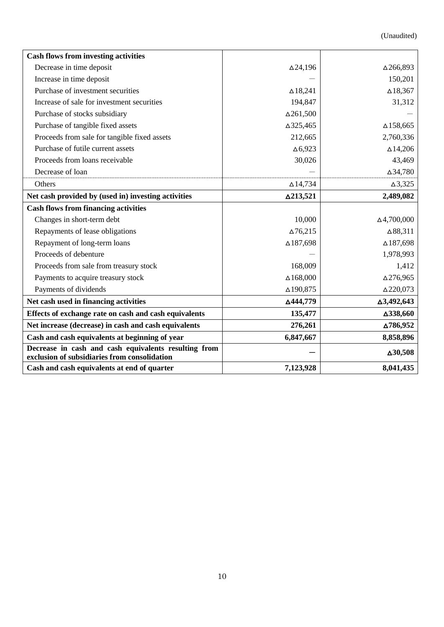(Unaudited)

| <b>Cash flows from investing activities</b>                                                          |                  |                     |
|------------------------------------------------------------------------------------------------------|------------------|---------------------|
| Decrease in time deposit                                                                             | $\Delta$ 24,196  | △266,893            |
| Increase in time deposit                                                                             |                  | 150,201             |
| Purchase of investment securities                                                                    | $\Delta$ 18,241  | $\Delta$ 18,367     |
| Increase of sale for investment securities                                                           | 194,847          | 31,312              |
| Purchase of stocks subsidiary                                                                        | $\Delta$ 261,500 |                     |
| Purchase of tangible fixed assets                                                                    | △325,465         | $\Delta$ 158,665    |
| Proceeds from sale for tangible fixed assets                                                         | 212,665          | 2,760,336           |
| Purchase of futile current assets                                                                    | $\Delta 6,923$   | $\Delta$ 14,206     |
| Proceeds from loans receivable                                                                       | 30,026           | 43,469              |
| Decrease of loan                                                                                     |                  | △34,780             |
| Others                                                                                               | $\Delta$ 14,734  | $\Delta$ 3,325      |
| Net cash provided by (used in) investing activities                                                  | △213,521         | 2,489,082           |
| <b>Cash flows from financing activities</b>                                                          |                  |                     |
| Changes in short-term debt                                                                           | 10,000           | $\Delta$ 4,700,000  |
| Repayments of lease obligations                                                                      | $\Delta$ 76,215  | $\Delta 88,311$     |
| Repayment of long-term loans                                                                         | △187,698         | $\Delta$ 187,698    |
| Proceeds of debenture                                                                                |                  | 1,978,993           |
| Proceeds from sale from treasury stock                                                               | 168,009          | 1,412               |
| Payments to acquire treasury stock                                                                   | $\Delta 168,000$ | $\Delta$ 276,965    |
| Payments of dividends                                                                                | △190,875         | $\triangle$ 220,073 |
| Net cash used in financing activities                                                                | △444,779         | △3,492,643          |
| Effects of exchange rate on cash and cash equivalents                                                | 135,477          | △338,660            |
| Net increase (decrease) in cash and cash equivalents                                                 | 276,261          | ∆786,952            |
| Cash and cash equivalents at beginning of year                                                       | 6,847,667        | 8,858,896           |
| Decrease in cash and cash equivalents resulting from<br>exclusion of subsidiaries from consolidation |                  | $\Delta 30,508$     |
| Cash and cash equivalents at end of quarter                                                          | 7,123,928        | 8,041,435           |